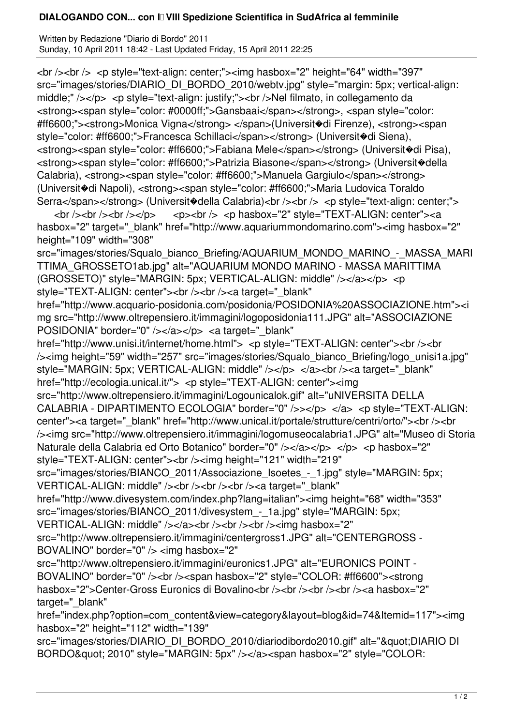## **DIALOGANDO CON... con II VIII Spedizione Scientifica in SudAfrica al femminile**

Written by Redazione "Diario di Bordo" 2011 Sunday, 10 April 2011 18:42 - Last Updated Friday, 15 April 2011 22:25

<br /><br /> <p style="text-align: center;"><img hasbox="2" height="64" width="397" src="images/stories/DIARIO\_DI\_BORDO\_2010/webtv.jpg" style="margin: 5px; vertical-align: middle;" /></p> <p style="text-align: justify;"><br />>>>>Nel filmato, in collegamento da <strong><span style="color: #0000ff;">Gansbaai</span></strong>, <span style="color: #ff6600;"><strong>Monica Vigna</strong> </span>(Universit�di Firenze), <strong><span style="color: #ff6600;">Francesca Schillaci</span></strong> (Universit�di Siena), <strong><span style="color: #ff6600;">Fabiana Mele</span></strong> (Universit�di Pisa), <strong><span style="color: #ff6600;">Patrizia Biasone</span></strong> (Universit�della Calabria), <strong><span style="color: #ff6600;">Manuela Gargiulo</span></strong> (Universit�di Napoli), <strong><span style="color: #ff6600;">Maria Ludovica Toraldo Serra</span></strong> (Universit�della Calabria)<br />> />><br />> <p style="text-align: center;">

 <br /><br /><br /></p> <p><br /> <p hasbox="2" style="TEXT-ALIGN: center"><a hasbox="2" target=" blank" href="http://www.aquariummondomarino.com"><img hasbox="2" height="109" width="308"

src="images/stories/Squalo\_bianco\_Briefing/AQUARIUM\_MONDO\_MARINO\_-\_MASSA\_MARI TTIMA\_GROSSETO1ab.jpg" alt="AQUARIUM MONDO MARINO - MASSA MARITTIMA (GROSSETO)" style="MARGIN: 5px; VERTICAL-ALIGN: middle" /></a></p> <p style="TEXT-ALIGN: center"><br />>/>><br />>><a target="\_blank"

href="http://www.acquario-posidonia.com/posidonia/POSIDONIA%20ASSOCIAZIONE.htm"><i mg src="http://www.oltrepensiero.it/immagini/logoposidonia111.JPG" alt="ASSOCIAZIONE POSIDONIA" border="0" /></a></p> <a target=" blank"

href="http://www.unisi.it/internet/home.html"> <p style="TEXT-ALIGN: center"><br />>/> /><img height="59" width="257" src="images/stories/Squalo\_bianco\_Briefing/logo\_unisi1a.jpg" style="MARGIN: 5px; VERTICAL-ALIGN: middle" /></p> </a> </a><br />> />><a target=" blank" href="http://ecologia.unical.it/"> <p style="TEXT-ALIGN: center"><img

src="http://www.oltrepensiero.it/immagini/Logounicalok.gif" alt="uNIVERSITA DELLA CALABRIA - DIPARTIMENTO ECOLOGIA" border="0" />></p> </a> <p style="TEXT-ALIGN: center"><a target="\_blank" href="http://www.unical.it/portale/strutture/centri/orto/"><br />> /><img src="http://www.oltrepensiero.it/immagini/logomuseocalabria1.JPG" alt="Museo di Storia Naturale della Calabria ed Orto Botanico" border="0" /></a></p> </p> </p> <p hasbox="2" style="TEXT-ALIGN: center"><br /><img height="121" width="219"

src="images/stories/BIANCO\_2011/Associazione\_Isoetes\_-\_1.jpg" style="MARGIN: 5px; VERTICAL-ALIGN: middle" /><br />br /><br />br /><a target="\_blank"

href="http://www.divesystem.com/index.php?lang=italian"><img height="68" width="353" src="images/stories/BIANCO\_2011/divesystem\_-\_1a.jpg" style="MARGIN: 5px;

VERTICAL-ALIGN: middle" /></a> </br />>/>><br />>/> </br />>/> </br />img hasbox="2"

src="http://www.oltrepensiero.it/immagini/centergross1.JPG" alt="CENTERGROSS - BOVALINO" border="0" /> <img hasbox="2"

src="http://www.oltrepensiero.it/immagini/euronics1.JPG" alt="EURONICS POINT -BOVALINO" border="0" /><br />> /><span hasbox="2" style="COLOR: #ff6600"><strong hasbox="2">Center-Gross Euronics di Bovalino<br />>/>><br />>/>/><br />>/>/><a hasbox="2" target=" blank"

href="index.php?option=com\_content&view=category&layout=blog&id=74&Itemid=117"><img hasbox="2" height="112" width="139"

src="images/stories/DIARIO\_DI\_BORDO\_2010/diariodibordo2010.gif" alt=""DIARIO DI BORDO" 2010" style="MARGIN: 5px" /></a><span hasbox="2" style="COLOR: